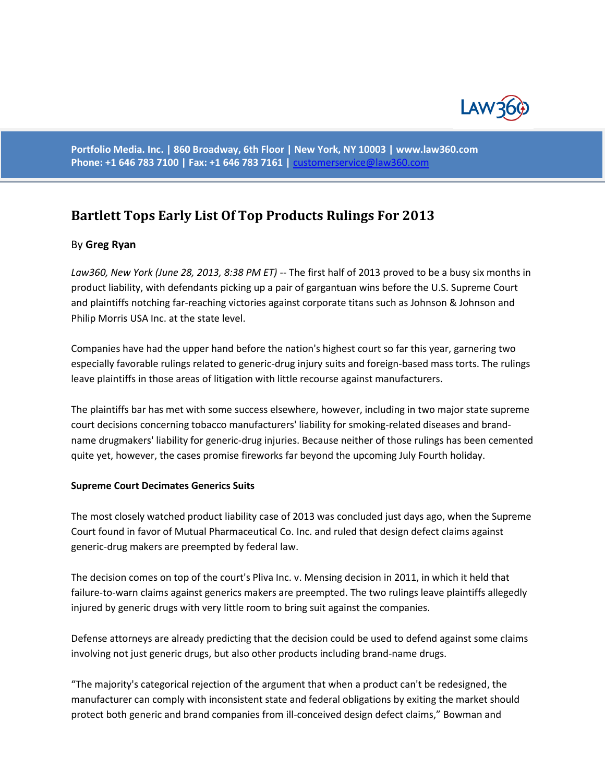

**Portfolio Media. Inc. | 860 Broadway, 6th Floor | New York, NY 10003 | www.law360.com Phone: +1 646 783 7100 | Fax: +1 646 783 7161 |** [customerservice@law360.com](mailto:customerservice@law360.com)

# **[Bartlett Tops Early List Of Top Products Rulings For 2013](http://www.law360.com/articles/454088/bartlett-tops-early-list-of-top-products-rulings-for-2013?te_pk=e46a3155-fa23-41b8-b6ab-7e7732f2156f&utm_source=user-alerts&utm_medium=email&utm_campaign=tracked-entity-alert)**

# By **Greg Ryan**

*Law360, New York (June 28, 2013, 8:38 PM ET)* -- The first half of 2013 proved to be a busy six months in product liability, with defendants picking up a pair of gargantuan wins before the U.S. Supreme Court and plaintiffs notching far-reaching victories against corporate titans such as Johnson & Johnson and Philip Morris USA Inc. at the state level.

Companies have had the upper hand before the nation's highest court so far this year, garnering two especially favorable rulings related to generic-drug injury suits and foreign-based mass torts. The rulings leave plaintiffs in those areas of litigation with little recourse against manufacturers.

The plaintiffs bar has met with some success elsewhere, however, including in two major state supreme court decisions concerning tobacco manufacturers' liability for smoking-related diseases and brandname drugmakers' liability for generic-drug injuries. Because neither of those rulings has been cemented quite yet, however, the cases promise fireworks far beyond the upcoming July Fourth holiday.

#### **Supreme Court Decimates Generics Suits**

The most closely watched product liability case of 2013 was concluded just days ago, when the Supreme Court found in favor of Mutual Pharmaceutical Co. Inc. and ruled that design defect claims against generic-drug makers are preempted by federal law.

The decision comes on top of the court's Pliva Inc. v. Mensing decision in 2011, in which it held that failure-to-warn claims against generics makers are preempted. The two rulings leave plaintiffs allegedly injured by generic drugs with very little room to bring suit against the companies.

Defense attorneys are already predicting that the decision could be used to defend against some claims involving not just generic drugs, but also other products including brand-name drugs.

"The majority's categorical rejection of the argument that when a product can't be redesigned, the manufacturer can comply with inconsistent state and federal obligations by exiting the market should protect both generic and brand companies from ill-conceived design defect claims," Bowman and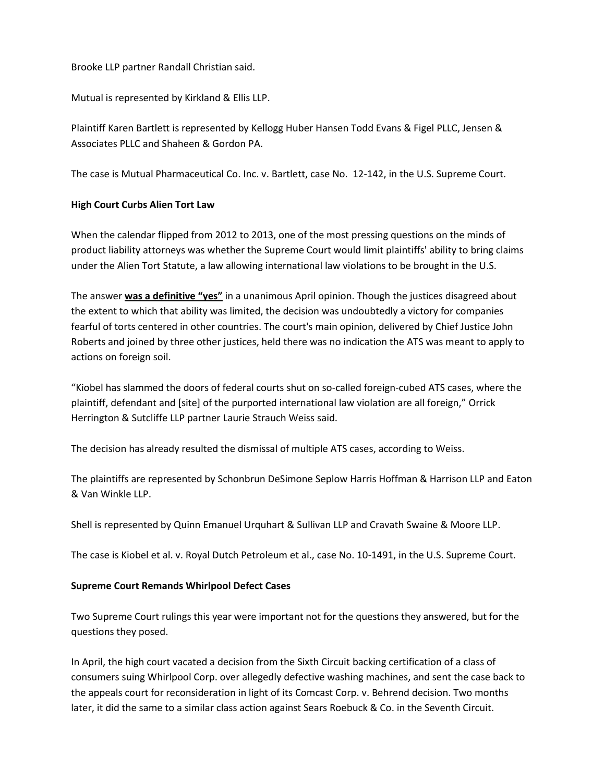# Brooke LLP partner Randall Christian said.

Mutual is represented by Kirkland & Ellis LLP.

Plaintiff Karen Bartlett is represented by Kellogg Huber Hansen Todd Evans & Figel PLLC, Jensen & Associates PLLC and Shaheen & Gordon PA.

The case is Mutual Pharmaceutical Co. Inc. v. Bartlett, case No. 12-142, in the U.S. Supreme Court.

# **High Court Curbs Alien Tort Law**

When the calendar flipped from 2012 to 2013, one of the most pressing questions on the minds of product liability attorneys was whether the Supreme Court would limit plaintiffs' ability to bring claims under the Alien Tort Statute, a law allowing international law violations to be brought in the U.S.

The answer **was a definitive "yes"** in a unanimous April opinion. Though the justices disagreed about the extent to which that ability was limited, the decision was undoubtedly a victory for companies fearful of torts centered in other countries. The court's main opinion, delivered by Chief Justice John Roberts and joined by three other justices, held there was no indication the ATS was meant to apply to actions on foreign soil.

"Kiobel has slammed the doors of federal courts shut on so-called foreign-cubed ATS cases, where the plaintiff, defendant and [site] of the purported international law violation are all foreign," Orrick Herrington & Sutcliffe LLP partner Laurie Strauch Weiss said.

The decision has already resulted the dismissal of multiple ATS cases, according to Weiss.

The plaintiffs are represented by Schonbrun DeSimone Seplow Harris Hoffman & Harrison LLP and Eaton & Van Winkle LLP.

Shell is represented by Quinn Emanuel Urquhart & Sullivan LLP and Cravath Swaine & Moore LLP.

The case is Kiobel et al. v. Royal Dutch Petroleum et al., case No. 10-1491, in the U.S. Supreme Court.

#### **Supreme Court Remands Whirlpool Defect Cases**

Two Supreme Court rulings this year were important not for the questions they answered, but for the questions they posed.

In April, the high court vacated a decision from the Sixth Circuit backing certification of a class of consumers suing Whirlpool Corp. over allegedly defective washing machines, and sent the case back to the appeals court for reconsideration in light of its Comcast Corp. v. Behrend decision. Two months later, it did the same to a similar class action against Sears Roebuck & Co. in the Seventh Circuit.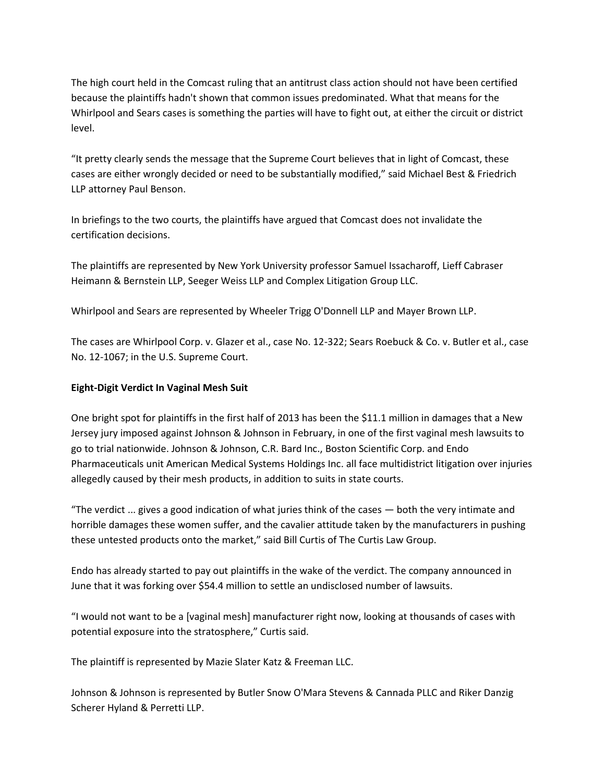The high court held in the Comcast ruling that an antitrust class action should not have been certified because the plaintiffs hadn't shown that common issues predominated. What that means for the Whirlpool and Sears cases is something the parties will have to fight out, at either the circuit or district level.

"It pretty clearly sends the message that the Supreme Court believes that in light of Comcast, these cases are either wrongly decided or need to be substantially modified," said Michael Best & Friedrich LLP attorney Paul Benson.

In briefings to the two courts, the plaintiffs have argued that Comcast does not invalidate the certification decisions.

The plaintiffs are represented by New York University professor Samuel Issacharoff, Lieff Cabraser Heimann & Bernstein LLP, Seeger Weiss LLP and Complex Litigation Group LLC.

Whirlpool and Sears are represented by Wheeler Trigg O'Donnell LLP and Mayer Brown LLP.

The cases are Whirlpool Corp. v. Glazer et al., case No. 12-322; Sears Roebuck & Co. v. Butler et al., case No. 12-1067; in the U.S. Supreme Court.

# **Eight-Digit Verdict In Vaginal Mesh Suit**

One bright spot for plaintiffs in the first half of 2013 has been the \$11.1 million in damages that a New Jersey jury imposed against Johnson & Johnson in February, in one of the first vaginal mesh lawsuits to go to trial nationwide. Johnson & Johnson, C.R. Bard Inc., Boston Scientific Corp. and Endo Pharmaceuticals unit American Medical Systems Holdings Inc. all face multidistrict litigation over injuries allegedly caused by their mesh products, in addition to suits in state courts.

"The verdict ... gives a good indication of what juries think of the cases — both the very intimate and horrible damages these women suffer, and the cavalier attitude taken by the manufacturers in pushing these untested products onto the market," said Bill Curtis of The Curtis Law Group.

Endo has already started to pay out plaintiffs in the wake of the verdict. The company announced in June that it was forking over \$54.4 million to settle an undisclosed number of lawsuits.

"I would not want to be a [vaginal mesh] manufacturer right now, looking at thousands of cases with potential exposure into the stratosphere," Curtis said.

The plaintiff is represented by Mazie Slater Katz & Freeman LLC.

Johnson & Johnson is represented by Butler Snow O'Mara Stevens & Cannada PLLC and Riker Danzig Scherer Hyland & Perretti LLP.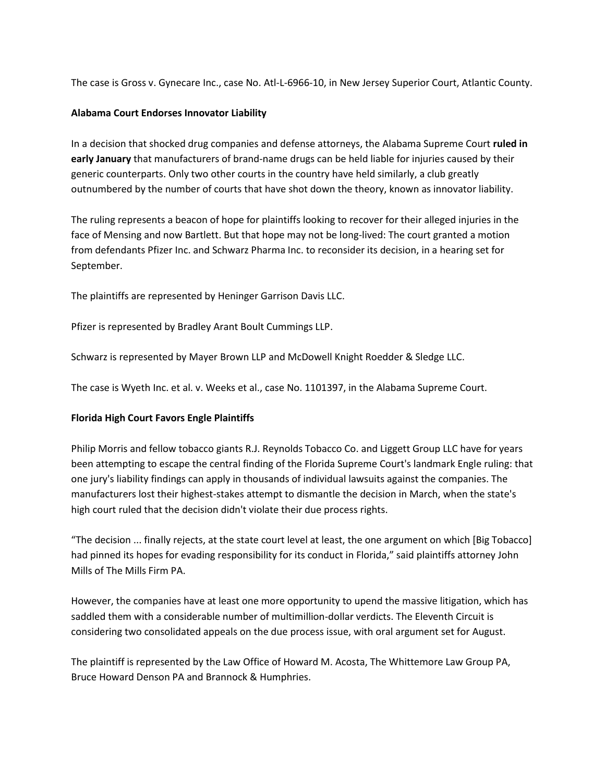The case is Gross v. Gynecare Inc., case No. Atl-L-6966-10, in New Jersey Superior Court, Atlantic County.

# **Alabama Court Endorses Innovator Liability**

In a decision that shocked drug companies and defense attorneys, the Alabama Supreme Court **ruled in early January** that manufacturers of brand-name drugs can be held liable for injuries caused by their generic counterparts. Only two other courts in the country have held similarly, a club greatly outnumbered by the number of courts that have shot down the theory, known as innovator liability.

The ruling represents a beacon of hope for plaintiffs looking to recover for their alleged injuries in the face of Mensing and now Bartlett. But that hope may not be long-lived: The court granted a motion from defendants Pfizer Inc. and Schwarz Pharma Inc. to reconsider its decision, in a hearing set for September.

The plaintiffs are represented by Heninger Garrison Davis LLC.

Pfizer is represented by Bradley Arant Boult Cummings LLP.

Schwarz is represented by Mayer Brown LLP and McDowell Knight Roedder & Sledge LLC.

The case is Wyeth Inc. et al. v. Weeks et al., case No. 1101397, in the Alabama Supreme Court.

# **Florida High Court Favors Engle Plaintiffs**

Philip Morris and fellow tobacco giants R.J. Reynolds Tobacco Co. and Liggett Group LLC have for years been attempting to escape the central finding of the Florida Supreme Court's landmark Engle ruling: that one jury's liability findings can apply in thousands of individual lawsuits against the companies. The manufacturers lost their highest-stakes attempt to dismantle the decision in March, when the state's high court ruled that the decision didn't violate their due process rights.

"The decision ... finally rejects, at the state court level at least, the one argument on which [Big Tobacco] had pinned its hopes for evading responsibility for its conduct in Florida," said plaintiffs attorney John Mills of The Mills Firm PA.

However, the companies have at least one more opportunity to upend the massive litigation, which has saddled them with a considerable number of multimillion-dollar verdicts. The Eleventh Circuit is considering two consolidated appeals on the due process issue, with oral argument set for August.

The plaintiff is represented by the Law Office of Howard M. Acosta, The Whittemore Law Group PA, Bruce Howard Denson PA and Brannock & Humphries.